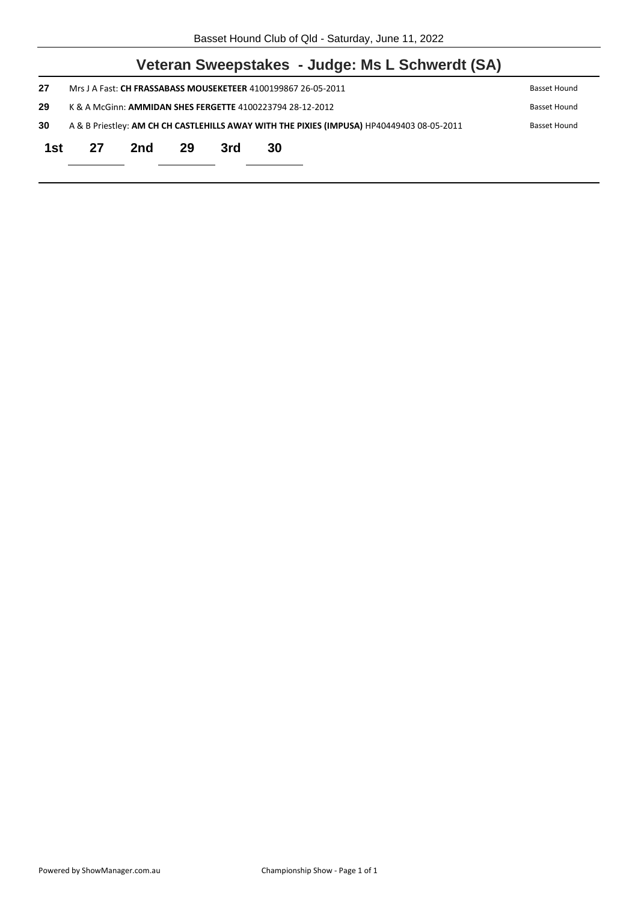| Mrs J A Fast: CH FRASSABASS MOUSEKETEER 4100199867 26-05-2011<br>Basset Hound |     |    |     |    |                                                                                                                                                                                                           |  |  |
|-------------------------------------------------------------------------------|-----|----|-----|----|-----------------------------------------------------------------------------------------------------------------------------------------------------------------------------------------------------------|--|--|
|                                                                               |     |    |     |    | Basset Hound                                                                                                                                                                                              |  |  |
|                                                                               |     |    |     |    | Basset Hound                                                                                                                                                                                              |  |  |
| 27                                                                            | 2nd | 29 | 3rd | 30 |                                                                                                                                                                                                           |  |  |
|                                                                               |     |    |     |    |                                                                                                                                                                                                           |  |  |
|                                                                               |     |    |     |    | Veteran Sweepstakes - Judge: Ms L Schwerdt (SA)<br>K & A McGinn: AMMIDAN SHES FERGETTE 4100223794 28-12-2012<br>A & B Priestley: AM CH CH CASTLEHILLS AWAY WITH THE PIXIES (IMPUSA) HP40449403 08-05-2011 |  |  |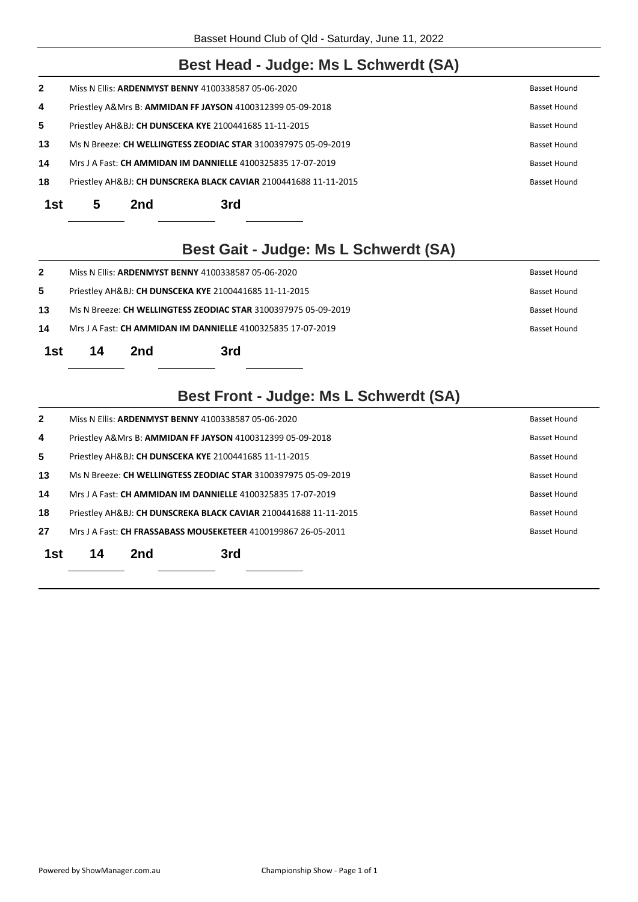#### **Best Head - Judge: Ms L Schwerdt (SA)**

| 18           |  | Priestley AH&BJ: CH DUNSCREKA BLACK CAVIAR 2100441688 11-11-2015 | Basset Hound        |
|--------------|--|------------------------------------------------------------------|---------------------|
| 14           |  | Mrs J A Fast: CH AMMIDAN IM DANNIELLE 4100325835 17-07-2019      | Basset Hound        |
| 13           |  | Ms N Breeze: CH WELLINGTESS ZEODIAC STAR 3100397975 05-09-2019   | <b>Basset Hound</b> |
| 5            |  | Priestley AH&BJ: CH DUNSCEKA KYE 2100441685 11-11-2015           | Basset Hound        |
| 4            |  | Priestley A&Mrs B: AMMIDAN FF JAYSON 4100312399 05-09-2018       | Basset Hound        |
| $\mathbf{2}$ |  | Miss N Ellis: ARDENMYST BENNY 4100338587 05-06-2020              | <b>Basset Hound</b> |

## **Best Gait - Judge: Ms L Schwerdt (SA)**

| 1st          | 14                                                                                 | 2nd | 3rd |  |  |  |  |
|--------------|------------------------------------------------------------------------------------|-----|-----|--|--|--|--|
| 14           | Mrs J A Fast: <b>CH AMMIDAN IM DANNIELLE</b> 4100325835 17-07-2019<br>Basset Hound |     |     |  |  |  |  |
| 13           | Ms N Breeze: CH WELLINGTESS ZEODIAC STAR 3100397975 05-09-2019<br>Basset Hound     |     |     |  |  |  |  |
| 5            | Priestley AH&BJ: CH DUNSCEKA KYE 2100441685 11-11-2015<br>Basset Hound             |     |     |  |  |  |  |
| $\mathbf{2}$ | Miss N Ellis: ARDENMYST BENNY 4100338587 05-06-2020<br>Basset Hound                |     |     |  |  |  |  |

## **Best Front - Judge: Ms L Schwerdt (SA)**

| $\mathbf{2}$ |                                                                                         |     | Miss N Ellis: ARDENMYST BENNY 4100338587 05-06-2020                   |  | Basset Hound        |  |  |
|--------------|-----------------------------------------------------------------------------------------|-----|-----------------------------------------------------------------------|--|---------------------|--|--|
| 4            |                                                                                         |     | Priestley A&Mrs B: AMMIDAN FF JAYSON 4100312399 05-09-2018            |  | Basset Hound        |  |  |
| 5            |                                                                                         |     | Priestley AH&BJ: CH DUNSCEKA KYE 2100441685 11-11-2015                |  | Basset Hound        |  |  |
| 13           |                                                                                         |     | Ms N Breeze: <b>CH WELLINGTESS ZEODIAC STAR</b> 3100397975 05-09-2019 |  | <b>Basset Hound</b> |  |  |
| 14           |                                                                                         |     | Mrs J A Fast: CH AMMIDAN IM DANNIELLE 4100325835 17-07-2019           |  | <b>Basset Hound</b> |  |  |
| 18           | Priestley AH&BJ: CH DUNSCREKA BLACK CAVIAR 2100441688 11-11-2015<br><b>Basset Hound</b> |     |                                                                       |  |                     |  |  |
| 27           |                                                                                         |     | Mrs J A Fast: CH FRASSABASS MOUSEKETEER 4100199867 26-05-2011         |  | <b>Basset Hound</b> |  |  |
| 1st          | 14                                                                                      | 2nd | 3rd                                                                   |  |                     |  |  |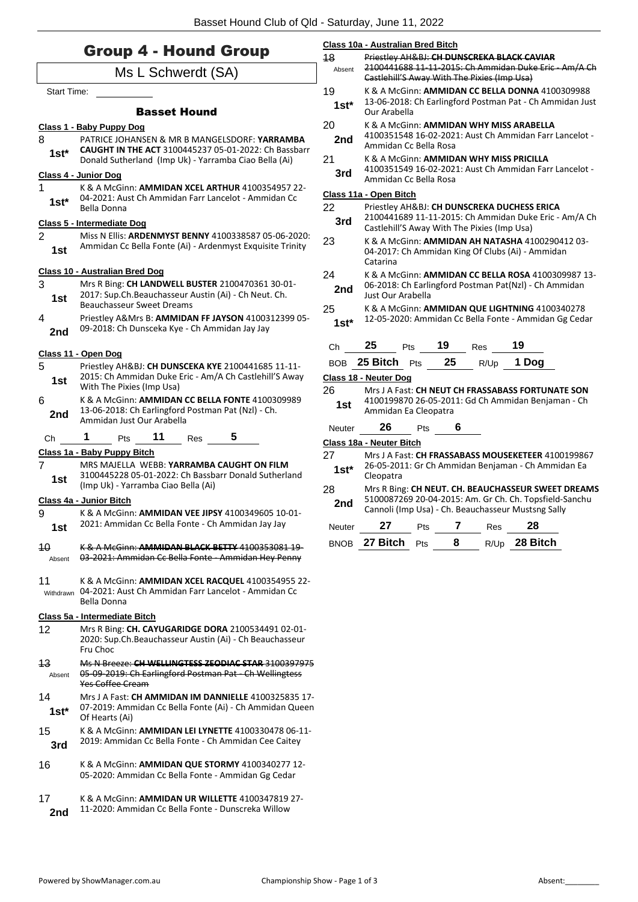|                       | <b>Group 4 - Hound Group</b>                                                                                                       | 18           | Class 10a - Australian Bred Bitch<br>Priestley AH&BJ: CH DUNSCREKA BLACK CAVIAR |                                                                                                                                                                                                        |    |                                             |                                                                                                              |  |
|-----------------------|------------------------------------------------------------------------------------------------------------------------------------|--------------|---------------------------------------------------------------------------------|--------------------------------------------------------------------------------------------------------------------------------------------------------------------------------------------------------|----|---------------------------------------------|--------------------------------------------------------------------------------------------------------------|--|
|                       | Ms L Schwerdt (SA)                                                                                                                 | Absent       |                                                                                 |                                                                                                                                                                                                        |    | Castlehill'S Away With The Pixies (Imp Usa) | 2100441688 11-11-2015: Ch Ammidan Duke Eric - Am/A Ch                                                        |  |
| Start Time:           |                                                                                                                                    | 19           |                                                                                 |                                                                                                                                                                                                        |    |                                             | K & A McGinn: AMMIDAN CC BELLA DONNA 4100309988                                                              |  |
|                       | <b>Basset Hound</b>                                                                                                                | $1st*$       | Our Arabella                                                                    |                                                                                                                                                                                                        |    |                                             | 13-06-2018: Ch Earlingford Postman Pat - Ch Ammidan Just                                                     |  |
|                       | Class 1 - Baby Puppy Dog                                                                                                           | 20           |                                                                                 | K & A McGinn: AMMIDAN WHY MISS ARABELLA<br>4100351548 16-02-2021: Aust Ch Ammidan Farr Lancelot -                                                                                                      |    |                                             |                                                                                                              |  |
| 8                     | PATRICE JOHANSEN & MR B MANGELSDORF: YARRAMBA<br>CAUGHT IN THE ACT 3100445237 05-01-2022: Ch Bassbarr                              | 2nd          | Ammidan Cc Bella Rosa                                                           |                                                                                                                                                                                                        |    |                                             |                                                                                                              |  |
| $1st*$                | Donald Sutherland (Imp Uk) - Yarramba Ciao Bella (Ai)                                                                              | 21           |                                                                                 |                                                                                                                                                                                                        |    |                                             | K & A McGinn: AMMIDAN WHY MISS PRICILLA<br>4100351549 16-02-2021: Aust Ch Ammidan Farr Lancelot -            |  |
| 1                     | Class 4 - Junior Dog<br>K & A McGinn: AMMIDAN XCEL ARTHUR 4100354957 22-                                                           | 3rd          | Ammidan Cc Bella Rosa                                                           |                                                                                                                                                                                                        |    |                                             |                                                                                                              |  |
| $1st*$                | 04-2021: Aust Ch Ammidan Farr Lancelot - Ammidan Cc                                                                                |              | Class 11a - Open Bitch                                                          |                                                                                                                                                                                                        |    |                                             |                                                                                                              |  |
|                       | <b>Bella Donna</b><br><b>Class 5 - Intermediate Dog</b>                                                                            | 22<br>3rd    |                                                                                 | Priestley AH&BJ: CH DUNSCREKA DUCHESS ERICA<br>2100441689 11-11-2015: Ch Ammidan Duke Eric - Am/A Ch<br>Castlehill'S Away With The Pixies (Imp Usa)<br>K & A McGinn: AMMIDAN AH NATASHA 4100290412 03- |    |                                             |                                                                                                              |  |
| $\overline{2}$        | Miss N Ellis: ARDENMYST BENNY 4100338587 05-06-2020:                                                                               | 23           |                                                                                 |                                                                                                                                                                                                        |    |                                             |                                                                                                              |  |
| 1st                   | Ammidan Cc Bella Fonte (Ai) - Ardenmyst Exquisite Trinity                                                                          |              | Catarina                                                                        |                                                                                                                                                                                                        |    |                                             | 04-2017: Ch Ammidan King Of Clubs (Ai) - Ammidan                                                             |  |
| 3                     | <b>Class 10 - Australian Bred Dog</b><br>Mrs R Bing: CH LANDWELL BUSTER 2100470361 30-01-                                          | 24           |                                                                                 |                                                                                                                                                                                                        |    |                                             | K & A McGinn: AMMIDAN CC BELLA ROSA 4100309987 13-<br>06-2018: Ch Earlingford Postman Pat(NzI) - Ch Ammidan  |  |
| 1st                   | 2017: Sup.Ch.Beauchasseur Austin (Ai) - Ch Neut. Ch.                                                                               | 2nd          | Just Our Arabella                                                               |                                                                                                                                                                                                        |    |                                             |                                                                                                              |  |
| 4                     | <b>Beauchasseur Sweet Dreams</b><br>Priestley A&Mrs B: AMMIDAN FF JAYSON 4100312399 05-                                            | 25<br>$1st*$ |                                                                                 |                                                                                                                                                                                                        |    |                                             | K & A McGinn: AMMIDAN QUE LIGHTNING 4100340278<br>12-05-2020: Ammidan Cc Bella Fonte - Ammidan Gg Cedar      |  |
| 2nd                   | 09-2018: Ch Dunsceka Kye - Ch Ammidan Jay Jay                                                                                      |              |                                                                                 |                                                                                                                                                                                                        |    |                                             |                                                                                                              |  |
|                       | Class 11 - Open Dog                                                                                                                | Ch           | 25                                                                              | Pts                                                                                                                                                                                                    | 19 | Res                                         | 19                                                                                                           |  |
| 5                     | Priestley AH&BJ: CH DUNSCEKA KYE 2100441685 11-11-<br>2015: Ch Ammidan Duke Eric - Am/A Ch Castlehill'S Away                       |              | BOB 25 Bitch Pts                                                                |                                                                                                                                                                                                        | 25 | R/Up                                        | 1 Dog                                                                                                        |  |
| 1st                   | With The Pixies (Imp Usa)                                                                                                          | 26           | Class 18 - Neuter Dog                                                           |                                                                                                                                                                                                        |    |                                             | Mrs J A Fast: CH NEUT CH FRASSABASS FORTUNATE SON                                                            |  |
| 6<br>2nd              | K & A McGinn: AMMIDAN CC BELLA FONTE 4100309989<br>13-06-2018: Ch Earlingford Postman Pat (Nzl) - Ch.<br>Ammidan Just Our Arabella | 1st          | 4100199870 26-05-2011: Gd Ch Ammidan Benjaman - Ch<br>Ammidan Ea Cleopatra      |                                                                                                                                                                                                        |    |                                             |                                                                                                              |  |
| Ch                    | 1<br>11<br>5<br>Pts<br>Res                                                                                                         | Neuter       | 26                                                                              | Pts                                                                                                                                                                                                    | 6  |                                             |                                                                                                              |  |
|                       | Class 1a - Baby Puppy Bitch                                                                                                        | 27           | Class 18a - Neuter Bitch                                                        |                                                                                                                                                                                                        |    |                                             | Mrs J A Fast: CH FRASSABASS MOUSEKETEER 4100199867                                                           |  |
| $\overline{7}$<br>1st | MRS MAJELLA WEBB: YARRAMBA CAUGHT ON FILM<br>3100445228 05-01-2022: Ch Bassbarr Donald Sutherland                                  | $1st*$       | Cleopatra                                                                       |                                                                                                                                                                                                        |    |                                             | 26-05-2011: Gr Ch Ammidan Benjaman - Ch Ammidan Ea                                                           |  |
|                       | (Imp Uk) - Yarramba Ciao Bella (Ai)<br>Class 4a - Junior Bitch                                                                     | 28           |                                                                                 |                                                                                                                                                                                                        |    |                                             | Mrs R Bing: CH NEUT. CH. BEAUCHASSEUR SWEET DREAMS<br>5100087269 20-04-2015: Am. Gr Ch. Ch. Topsfield-Sanchu |  |
| 9                     | K & A McGinn: AMMIDAN VEE JIPSY 4100349605 10-01-                                                                                  | 2nd          | Cannoli (Imp Usa) - Ch. Beauchasseur Mustsng Sally                              |                                                                                                                                                                                                        |    |                                             |                                                                                                              |  |
| 1st                   | 2021: Ammidan Cc Bella Fonte - Ch Ammidan Jay Jay                                                                                  | Neuter       | 27                                                                              | Pts                                                                                                                                                                                                    | 7  | Res                                         | 28                                                                                                           |  |
| 40<br>Absent          | K & A McGinn: AMMIDAN BLACK BETTY 4100353081 19-<br>03-2021: Ammidan Cc Bella Fonte - Ammidan Hey Penny                            |              | BNOB 27 Bitch                                                                   | Pts                                                                                                                                                                                                    | 8  | R/Up                                        | 28 Bitch                                                                                                     |  |
| 11<br>Withdrawn       | K & A McGinn: AMMIDAN XCEL RACQUEL 4100354955 22-<br>04-2021: Aust Ch Ammidan Farr Lancelot - Ammidan Cc<br>Bella Donna            |              |                                                                                 |                                                                                                                                                                                                        |    |                                             |                                                                                                              |  |
|                       | Class 5a - Intermediate Bitch                                                                                                      |              |                                                                                 |                                                                                                                                                                                                        |    |                                             |                                                                                                              |  |
| 12                    | Mrs R Bing: CH. CAYUGARIDGE DORA 2100534491 02-01-<br>2020: Sup.Ch.Beauchasseur Austin (Ai) - Ch Beauchasseur<br>Fru Choc          |              |                                                                                 |                                                                                                                                                                                                        |    |                                             |                                                                                                              |  |
| 43<br>Absent          | Ms N Breeze: CH WELLINGTESS ZEODIAC STAR 3100397975<br>05 09 2019: Ch Earlingford Postman Pat Ch Wellingtess<br>Yes Coffee Cream   |              |                                                                                 |                                                                                                                                                                                                        |    |                                             |                                                                                                              |  |
| 14<br>$1st^*$         | Mrs J A Fast: CH AMMIDAN IM DANNIELLE 4100325835 17-<br>07-2019: Ammidan Cc Bella Fonte (Ai) - Ch Ammidan Queen<br>Of Hearts (Ai)  |              |                                                                                 |                                                                                                                                                                                                        |    |                                             |                                                                                                              |  |
| 15<br>3rd             | K & A McGinn: AMMIDAN LEI LYNETTE 4100330478 06-11-<br>2019: Ammidan Cc Bella Fonte - Ch Ammidan Cee Caitey                        |              |                                                                                 |                                                                                                                                                                                                        |    |                                             |                                                                                                              |  |
| 16                    | K & A McGinn: AMMIDAN QUE STORMY 4100340277 12-<br>05-2020: Ammidan Cc Bella Fonte - Ammidan Gg Cedar                              |              |                                                                                 |                                                                                                                                                                                                        |    |                                             |                                                                                                              |  |
| 17<br>2nd             | K & A McGinn: AMMIDAN UR WILLETTE 4100347819 27-<br>11-2020: Ammidan Cc Bella Fonte - Dunscreka Willow                             |              |                                                                                 |                                                                                                                                                                                                        |    |                                             |                                                                                                              |  |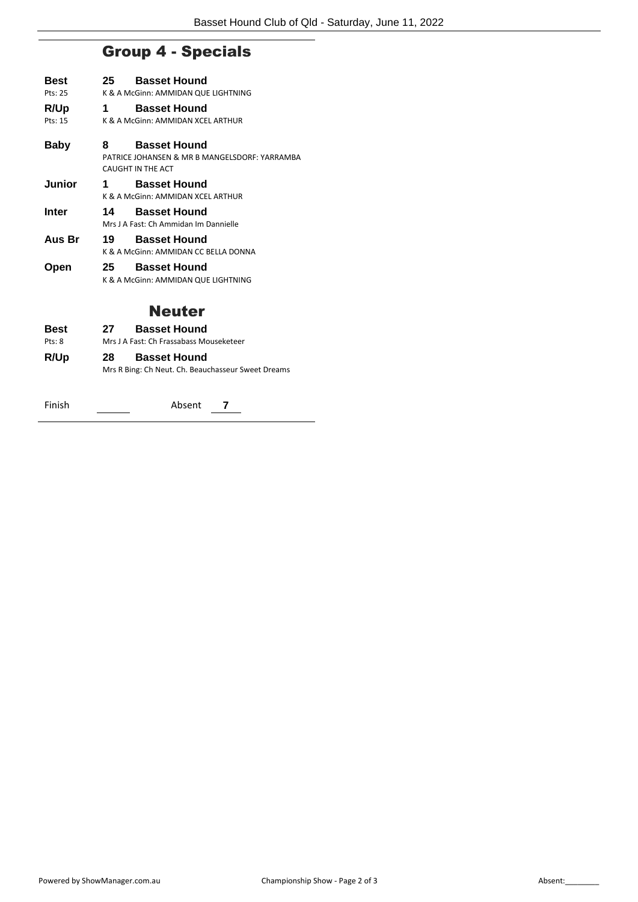# Group 4 - Specials

| Best    | 25 | <b>Basset Hound</b>                                                  |
|---------|----|----------------------------------------------------------------------|
| Pts: 25 |    | K & A McGinn: AMMIDAN QUE LIGHTNING                                  |
| R/Up    | 1  | <b>Basset Hound</b>                                                  |
| Pts: 15 |    | K & A McGinn: AMMIDAN XCEL ARTHUR                                    |
| Baby    | 8  | <b>Basset Hound</b><br>PATRICE JOHANSEN & MR B MANGELSDORF: YARRAMBA |
|         |    | CAUGHT IN THE ACT                                                    |
| Junior  | 1  | <b>Basset Hound</b><br>K & A McGinn: AMMIDAN XCEL ARTHUR             |
| Inter   | 14 | <b>Basset Hound</b><br>Mrs J A Fast: Ch Ammidan Im Dannielle         |
| Aus Br  | 19 | <b>Basset Hound</b><br>K & A McGinn: AMMIDAN CC BELLA DONNA          |
| Open    | 25 | <b>Basset Hound</b><br>K & A McGinn: AMMIDAN QUE LIGHTNING           |

#### Neuter

| <b>Best</b> | 27  | <b>Basset Hound</b>                                |
|-------------|-----|----------------------------------------------------|
| Pts: 8      |     | Mrs J A Fast: Ch Frassabass Mouseketeer            |
| R/Up        | 28. | <b>Basset Hound</b>                                |
|             |     | Mrs R Bing: Ch Neut. Ch. Beauchasseur Sweet Dreams |
| Finish      |     | Absent                                             |